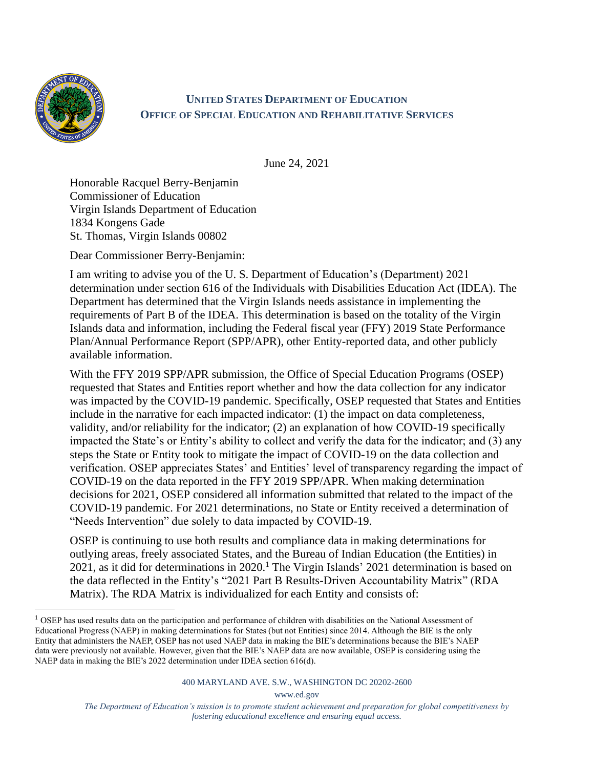

## **UNITED STATES DEPARTMENT OF EDUCATION OFFICE OF SPECIAL EDUCATION AND REHABILITATIVE SERVICES**

June 24, 2021

Honorable Racquel Berry-Benjamin Commissioner of Education Virgin Islands Department of Education 1834 Kongens Gade St. Thomas, Virgin Islands 00802

Dear Commissioner Berry-Benjamin:

I am writing to advise you of the U. S. Department of Education's (Department) 2021 determination under section 616 of the Individuals with Disabilities Education Act (IDEA). The Department has determined that the Virgin Islands needs assistance in implementing the requirements of Part B of the IDEA. This determination is based on the totality of the Virgin Islands data and information, including the Federal fiscal year (FFY) 2019 State Performance Plan/Annual Performance Report (SPP/APR), other Entity-reported data, and other publicly available information.

With the FFY 2019 SPP/APR submission, the Office of Special Education Programs (OSEP) requested that States and Entities report whether and how the data collection for any indicator was impacted by the COVID-19 pandemic. Specifically, OSEP requested that States and Entities include in the narrative for each impacted indicator: (1) the impact on data completeness, validity, and/or reliability for the indicator; (2) an explanation of how COVID-19 specifically impacted the State's or Entity's ability to collect and verify the data for the indicator; and (3) any steps the State or Entity took to mitigate the impact of COVID-19 on the data collection and verification. OSEP appreciates States' and Entities' level of transparency regarding the impact of COVID-19 on the data reported in the FFY 2019 SPP/APR. When making determination decisions for 2021, OSEP considered all information submitted that related to the impact of the COVID-19 pandemic. For 2021 determinations, no State or Entity received a determination of "Needs Intervention" due solely to data impacted by COVID-19.

OSEP is continuing to use both results and compliance data in making determinations for outlying areas, freely associated States, and the Bureau of Indian Education (the Entities) in 2021, as it did for determinations in 2020.<sup>1</sup> The Virgin Islands' 2021 determination is based on the data reflected in the Entity's "2021 Part B Results-Driven Accountability Matrix" (RDA Matrix). The RDA Matrix is individualized for each Entity and consists of:

www.ed.gov

 $<sup>1</sup>$  OSEP has used results data on the participation and performance of children with disabilities on the National Assessment of</sup> Educational Progress (NAEP) in making determinations for States (but not Entities) since 2014. Although the BIE is the only Entity that administers the NAEP, OSEP has not used NAEP data in making the BIE's determinations because the BIE's NAEP data were previously not available. However, given that the BIE's NAEP data are now available, OSEP is considering using the NAEP data in making the BIE's 2022 determination under IDEA section 616(d).

*The Department of Education's mission is to promote student achievement and preparation for global competitiveness by fostering educational excellence and ensuring equal access.*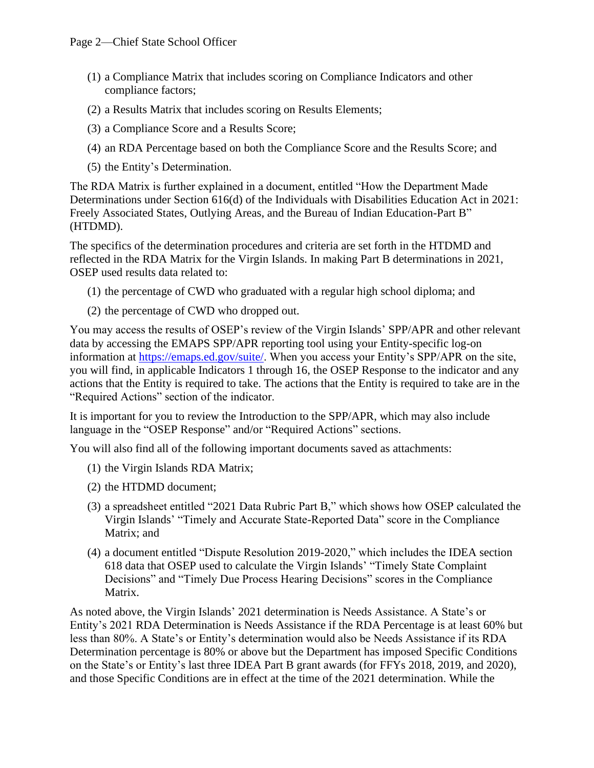- (1) a Compliance Matrix that includes scoring on Compliance Indicators and other compliance factors;
- (2) a Results Matrix that includes scoring on Results Elements;
- (3) a Compliance Score and a Results Score;
- (4) an RDA Percentage based on both the Compliance Score and the Results Score; and
- (5) the Entity's Determination.

The RDA Matrix is further explained in a document, entitled "How the Department Made Determinations under Section 616(d) of the Individuals with Disabilities Education Act in 2021: Freely Associated States, Outlying Areas, and the Bureau of Indian Education-Part B" (HTDMD).

The specifics of the determination procedures and criteria are set forth in the HTDMD and reflected in the RDA Matrix for the Virgin Islands. In making Part B determinations in 2021, OSEP used results data related to:

- (1) the percentage of CWD who graduated with a regular high school diploma; and
- (2) the percentage of CWD who dropped out.

You may access the results of OSEP's review of the Virgin Islands' SPP/APR and other relevant data by accessing the EMAPS SPP/APR reporting tool using your Entity-specific log-on information at [https://emaps.ed.gov/suite/.](https://emaps.ed.gov/suite/) When you access your Entity's SPP/APR on the site, you will find, in applicable Indicators 1 through 16, the OSEP Response to the indicator and any actions that the Entity is required to take. The actions that the Entity is required to take are in the "Required Actions" section of the indicator.

It is important for you to review the Introduction to the SPP/APR, which may also include language in the "OSEP Response" and/or "Required Actions" sections.

You will also find all of the following important documents saved as attachments:

- (1) the Virgin Islands RDA Matrix;
- (2) the HTDMD document;
- (3) a spreadsheet entitled "2021 Data Rubric Part B," which shows how OSEP calculated the Virgin Islands' "Timely and Accurate State-Reported Data" score in the Compliance Matrix; and
- (4) a document entitled "Dispute Resolution 2019-2020," which includes the IDEA section 618 data that OSEP used to calculate the Virgin Islands' "Timely State Complaint Decisions" and "Timely Due Process Hearing Decisions" scores in the Compliance Matrix.

As noted above, the Virgin Islands' 2021 determination is Needs Assistance. A State's or Entity's 2021 RDA Determination is Needs Assistance if the RDA Percentage is at least 60% but less than 80%. A State's or Entity's determination would also be Needs Assistance if its RDA Determination percentage is 80% or above but the Department has imposed Specific Conditions on the State's or Entity's last three IDEA Part B grant awards (for FFYs 2018, 2019, and 2020), and those Specific Conditions are in effect at the time of the 2021 determination. While the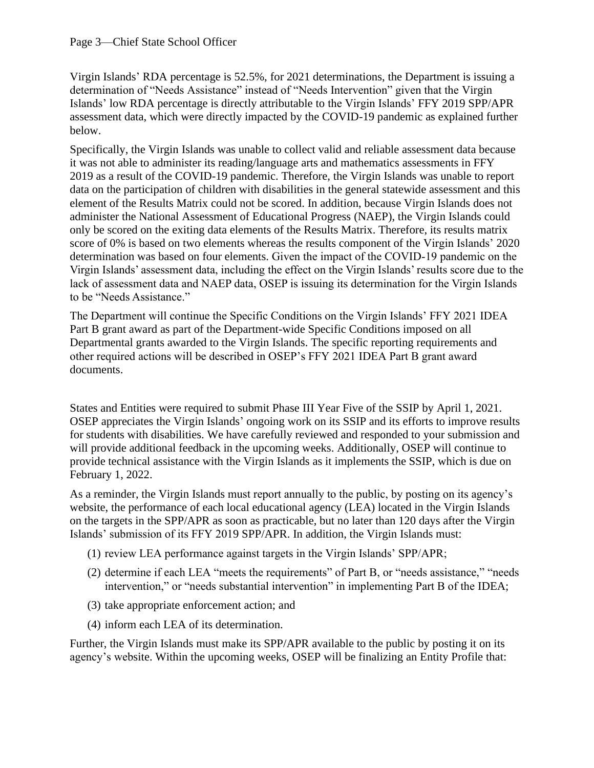Virgin Islands' RDA percentage is 52.5%, for 2021 determinations, the Department is issuing a determination of "Needs Assistance" instead of "Needs Intervention" given that the Virgin Islands' low RDA percentage is directly attributable to the Virgin Islands' FFY 2019 SPP/APR assessment data, which were directly impacted by the COVID-19 pandemic as explained further below.

Specifically, the Virgin Islands was unable to collect valid and reliable assessment data because it was not able to administer its reading/language arts and mathematics assessments in FFY 2019 as a result of the COVID-19 pandemic. Therefore, the Virgin Islands was unable to report data on the participation of children with disabilities in the general statewide assessment and this element of the Results Matrix could not be scored. In addition, because Virgin Islands does not administer the National Assessment of Educational Progress (NAEP), the Virgin Islands could only be scored on the exiting data elements of the Results Matrix. Therefore, its results matrix score of 0% is based on two elements whereas the results component of the Virgin Islands' 2020 determination was based on four elements. Given the impact of the COVID-19 pandemic on the Virgin Islands' assessment data, including the effect on the Virgin Islands' results score due to the lack of assessment data and NAEP data, OSEP is issuing its determination for the Virgin Islands to be "Needs Assistance."

The Department will continue the Specific Conditions on the Virgin Islands' FFY 2021 IDEA Part B grant award as part of the Department-wide Specific Conditions imposed on all Departmental grants awarded to the Virgin Islands. The specific reporting requirements and other required actions will be described in OSEP's FFY 2021 IDEA Part B grant award documents.

States and Entities were required to submit Phase III Year Five of the SSIP by April 1, 2021. OSEP appreciates the Virgin Islands' ongoing work on its SSIP and its efforts to improve results for students with disabilities. We have carefully reviewed and responded to your submission and will provide additional feedback in the upcoming weeks. Additionally, OSEP will continue to provide technical assistance with the Virgin Islands as it implements the SSIP, which is due on February 1, 2022.

As a reminder, the Virgin Islands must report annually to the public, by posting on its agency's website, the performance of each local educational agency (LEA) located in the Virgin Islands on the targets in the SPP/APR as soon as practicable, but no later than 120 days after the Virgin Islands' submission of its FFY 2019 SPP/APR. In addition, the Virgin Islands must:

- (1) review LEA performance against targets in the Virgin Islands' SPP/APR;
- (2) determine if each LEA "meets the requirements" of Part B, or "needs assistance," "needs intervention," or "needs substantial intervention" in implementing Part B of the IDEA;
- (3) take appropriate enforcement action; and
- (4) inform each LEA of its determination.

Further, the Virgin Islands must make its SPP/APR available to the public by posting it on its agency's website. Within the upcoming weeks, OSEP will be finalizing an Entity Profile that: